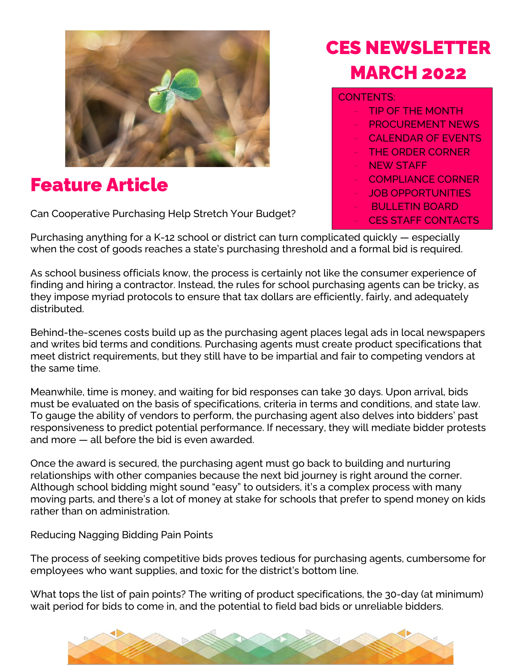

## Feature Article

Can Cooperative Purchasing Help Stretch Your Budget?

#### Purchasing anything for a K-12 school or district can turn complicated quickly — especially when the cost of goods reaches a state's purchasing threshold and a formal bid is required.

As school business officials know, the process is certainly not like the consumer experience of finding and hiring a contractor. Instead, the rules for school purchasing agents can be tricky, as they impose myriad protocols to ensure that tax dollars are efficiently, fairly, and adequately distributed.

Behind-the-scenes costs build up as the purchasing agent places legal ads in local newspapers and writes bid terms and conditions. Purchasing agents must create product specifications that meet district requirements, but they still have to be impartial and fair to competing vendors at the same time.

Meanwhile, time is money, and waiting for bid responses can take 30 days. Upon arrival, bids must be evaluated on the basis of specifications, criteria in terms and conditions, and state law. To gauge the ability of vendors to perform, the purchasing agent also delves into bidders' past responsiveness to predict potential performance. If necessary, they will mediate bidder protests and more — all before the bid is even awarded.

Once the award is secured, the purchasing agent must go back to building and nurturing relationships with other companies because the next bid journey is right around the corner. Although school bidding might sound "easy" to outsiders, it's a complex process with many moving parts, and there's a lot of money at stake for schools that prefer to spend money on kids rather than on administration.

Reducing Nagging Bidding Pain Points

The process of seeking competitive bids proves tedious for purchasing agents, cumbersome for employees who want supplies, and toxic for the district's bottom line.

What tops the list of pain points? The writing of product specifications, the 30-day (at minimum) wait period for bids to come in, and the potential to field bad bids or unreliable bidders.



# CES NEWSLETTER **MARCH 2022**

#### CONTENTS:

- **TIP OF THE MONTH** PROCUREMENT NEWS CALENDAR OF EVENTS THE ORDER CORNER **NEW STAFF** - COMPLIANCE CORNER **JOB OPPORTUNITIES** - BULLETIN BOARD
	-
	- CES STAFF CONTACTS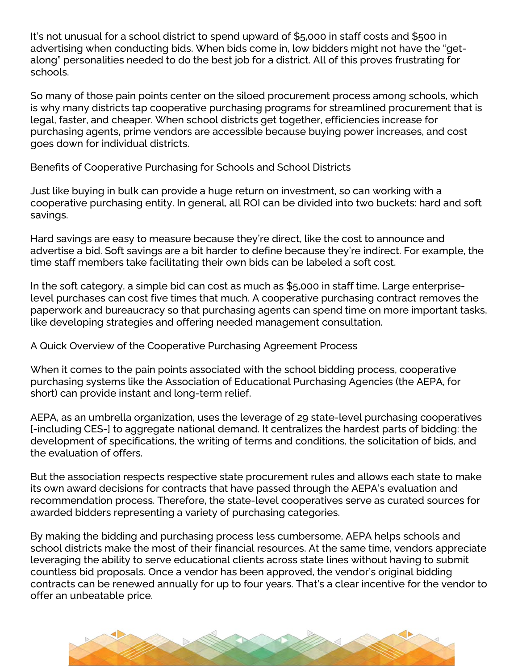It's not unusual for a school district to spend upward of \$5,000 in staff costs and \$500 in advertising when conducting bids. When bids come in, low bidders might not have the "getalong" personalities needed to do the best job for a district. All of this proves frustrating for schools.

So many of those pain points center on the siloed procurement process among schools, which is why many districts tap cooperative purchasing programs for streamlined procurement that is legal, faster, and cheaper. When school districts get together, efficiencies increase for purchasing agents, prime vendors are accessible because buying power increases, and cost goes down for individual districts.

Benefits of Cooperative Purchasing for Schools and School Districts

Just like buying in bulk can provide a huge return on investment, so can working with a cooperative purchasing entity. In general, all ROI can be divided into two buckets: hard and soft savings.

Hard savings are easy to measure because they're direct, like the cost to announce and advertise a bid. Soft savings are a bit harder to define because they're indirect. For example, the time staff members take facilitating their own bids can be labeled a soft cost.

In the soft category, a simple bid can cost as much as \$5,000 in staff time. Large enterpriselevel purchases can cost five times that much. A cooperative purchasing contract removes the paperwork and bureaucracy so that purchasing agents can spend time on more important tasks, like developing strategies and offering needed management consultation.

A Quick Overview of the Cooperative Purchasing Agreement Process

When it comes to the pain points associated with the school bidding process, cooperative purchasing systems like the Association of Educational Purchasing Agencies (the AEPA, for short) can provide instant and long-term relief.

AEPA, as an umbrella organization, uses the leverage of 29 state-level purchasing cooperatives [-including CES-] to aggregate national demand. It centralizes the hardest parts of bidding: the development of specifications, the writing of terms and conditions, the solicitation of bids, and the evaluation of offers.

But the association respects respective state procurement rules and allows each state to make its own award decisions for contracts that have passed through the AEPA's evaluation and recommendation process. Therefore, the state-level cooperatives serve as curated sources for awarded bidders representing a variety of purchasing categories.

By making the bidding and purchasing process less cumbersome, AEPA helps schools and school districts make the most of their financial resources. At the same time, vendors appreciate leveraging the ability to serve educational clients across state lines without having to submit countless bid proposals. Once a vendor has been approved, the vendor's original bidding contracts can be renewed annually for up to four years. That's a clear incentive for the vendor to offer an unbeatable price.

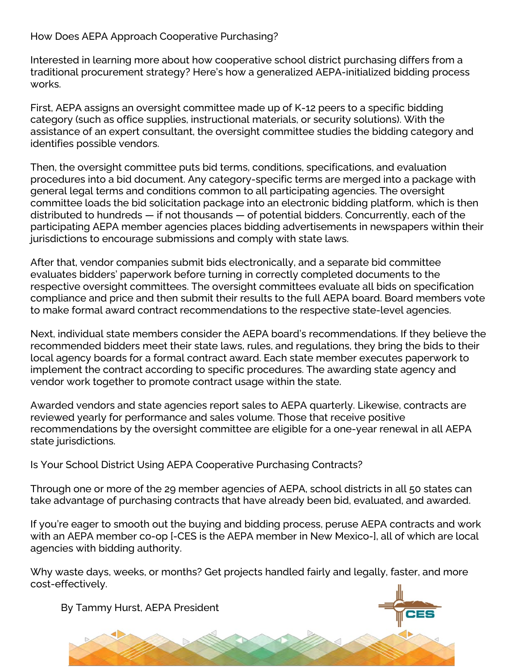How Does AEPA Approach Cooperative Purchasing?

Interested in learning more about how cooperative school district purchasing differs from a traditional procurement strategy? Here's how a generalized AEPA-initialized bidding process works.

First, AEPA assigns an oversight committee made up of K-12 peers to a specific bidding category (such as office supplies, instructional materials, or security solutions). With the assistance of an expert consultant, the oversight committee studies the bidding category and identifies possible vendors.

Then, the oversight committee puts bid terms, conditions, specifications, and evaluation procedures into a bid document. Any category-specific terms are merged into a package with general legal terms and conditions common to all participating agencies. The oversight committee loads the bid solicitation package into an electronic bidding platform, which is then distributed to hundreds — if not thousands — of potential bidders. Concurrently, each of the participating AEPA member agencies places bidding advertisements in newspapers within their jurisdictions to encourage submissions and comply with state laws.

After that, vendor companies submit bids electronically, and a separate bid committee evaluates bidders' paperwork before turning in correctly completed documents to the respective oversight committees. The oversight committees evaluate all bids on specification compliance and price and then submit their results to the full AEPA board. Board members vote to make formal award contract recommendations to the respective state-level agencies.

Next, individual state members consider the AEPA board's recommendations. If they believe the recommended bidders meet their state laws, rules, and regulations, they bring the bids to their local agency boards for a formal contract award. Each state member executes paperwork to implement the contract according to specific procedures. The awarding state agency and vendor work together to promote contract usage within the state.

Awarded vendors and state agencies report sales to AEPA quarterly. Likewise, contracts are reviewed yearly for performance and sales volume. Those that receive positive recommendations by the oversight committee are eligible for a one-year renewal in all AEPA state jurisdictions.

Is Your School District Using AEPA Cooperative Purchasing Contracts?

Through one or more of the 29 member agencies of AEPA, school districts in all 50 states can take advantage of purchasing contracts that have already been bid, evaluated, and awarded.

If you're eager to smooth out the buying and bidding process, peruse AEPA contracts and work with an AEPA member co-op [-CES is the AEPA member in New Mexico-], all of which are local agencies with bidding authority.

Why waste days, weeks, or months? Get projects handled fairly and legally, faster, and more cost-effectively.

By Tammy Hurst, AEPA President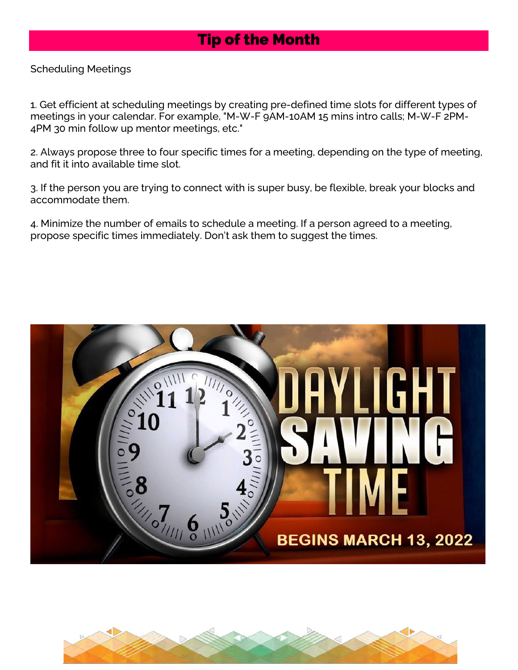## Tip of the Month

Scheduling Meetings

1. Get efficient at scheduling meetings by creating pre-defined time slots for different types of meetings in your calendar. For example, "M-W-F 9AM-10AM 15 mins intro calls; M-W-F 2PM-4PM 30 min follow up mentor meetings, etc."

2. Always propose three to four specific times for a meeting, depending on the type of meeting, and fit it into available time slot.

3. If the person you are trying to connect with is super busy, be flexible, break your blocks and accommodate them.

4. Minimize the number of emails to schedule a meeting. If a person agreed to a meeting, propose specific times immediately. Don't ask them to suggest the times.



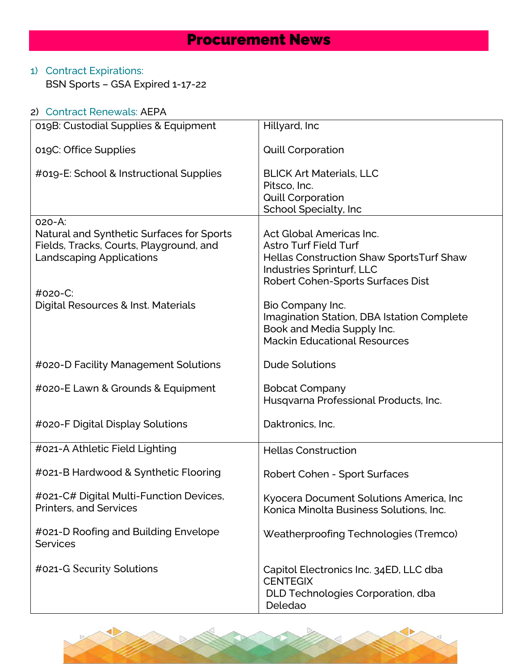## Procurement News

### 1) Contract Expirations:

BSN Sports – GSA Expired 1-17-22

| 2) Contract Renewals: AEPA                                                                                                        |                                                                                                                                                                               |
|-----------------------------------------------------------------------------------------------------------------------------------|-------------------------------------------------------------------------------------------------------------------------------------------------------------------------------|
| 019B: Custodial Supplies & Equipment                                                                                              | Hillyard, Inc                                                                                                                                                                 |
| 019C: Office Supplies                                                                                                             | <b>Quill Corporation</b>                                                                                                                                                      |
| #019-E: School & Instructional Supplies                                                                                           | <b>BLICK Art Materials, LLC</b><br>Pitsco, Inc.<br><b>Quill Corporation</b><br>School Specialty, Inc                                                                          |
| 020-A:<br>Natural and Synthetic Surfaces for Sports<br>Fields, Tracks, Courts, Playground, and<br><b>Landscaping Applications</b> | Act Global Americas Inc.<br><b>Astro Turf Field Turf</b><br><b>Hellas Construction Shaw SportsTurf Shaw</b><br>Industries Sprinturf, LLC<br>Robert Cohen-Sports Surfaces Dist |
| #020-C:<br>Digital Resources & Inst. Materials                                                                                    | Bio Company Inc.<br>Imagination Station, DBA Istation Complete<br>Book and Media Supply Inc.<br><b>Mackin Educational Resources</b>                                           |
| #020-D Facility Management Solutions                                                                                              | <b>Dude Solutions</b>                                                                                                                                                         |
| #020-E Lawn & Grounds & Equipment                                                                                                 | <b>Bobcat Company</b><br>Husqvarna Professional Products, Inc.                                                                                                                |
| #020-F Digital Display Solutions                                                                                                  | Daktronics, Inc.                                                                                                                                                              |
| #021-A Athletic Field Lighting                                                                                                    | <b>Hellas Construction</b>                                                                                                                                                    |
| #021-B Hardwood & Synthetic Flooring                                                                                              | Robert Cohen - Sport Surfaces                                                                                                                                                 |
| #021-C# Digital Multi-Function Devices,<br><b>Printers, and Services</b>                                                          | Kyocera Document Solutions America, Inc<br>Konica Minolta Business Solutions, Inc.                                                                                            |
| #021-D Roofing and Building Envelope<br><b>Services</b>                                                                           | Weatherproofing Technologies (Tremco)                                                                                                                                         |
| #021-G Security Solutions                                                                                                         | Capitol Electronics Inc. 34ED, LLC dba<br><b>CENTEGIX</b><br>DLD Technologies Corporation, dba<br>Deledao                                                                     |

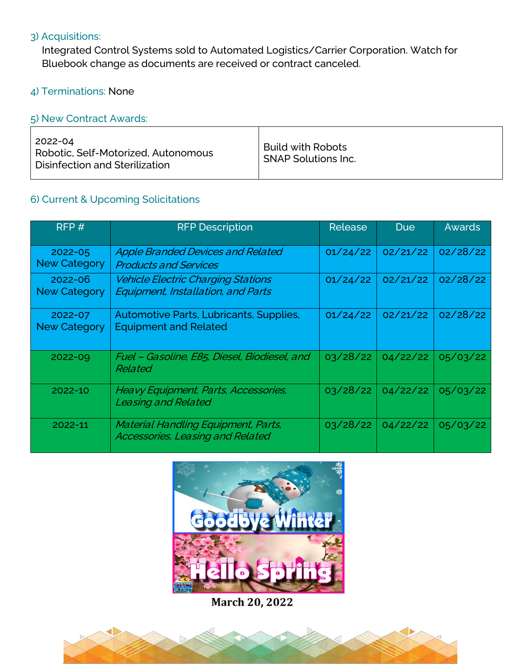#### 3) Acquisitions:

Integrated Control Systems sold to Automated Logistics/Carrier Corporation. Watch for Bluebook change as documents are received or contract canceled.

#### 4) Terminations: None

#### 5) New Contract Awards:

#### 6) Current & Upcoming Solicitations

| RFP#                               | <b>RFP Description</b>                                                          | <b>Release</b> | <b>Due</b> | <b>Awards</b> |
|------------------------------------|---------------------------------------------------------------------------------|----------------|------------|---------------|
| 2022-05<br><b>New Category</b>     | <b>Apple Branded Devices and Related</b><br><b>Products and Services</b>        | 01/24/22       | 02/21/22   | 02/28/22      |
| $2022 - 06$<br><b>New Category</b> | <b>Vehicle Electric Charging Stations</b><br>Equipment, Installation, and Parts | 01/24/22       | 02/21/22   | 02/28/22      |
| 2022-07<br><b>New Category</b>     | Automotive Parts, Lubricants, Supplies,<br><b>Equipment and Related</b>         | 01/24/22       | 02/21/22   | 02/28/22      |
| 2022-09                            | Fuel - Gasoline, E85, Diesel, Biodiesel, and<br>Related                         | 03/28/22       | 04/22/22   | 05/03/22      |
| 2022-10                            | Heavy Equipment, Parts, Accessories,<br><b>Leasing and Related</b>              | 03/28/22       | 04/22/22   | 05/03/22      |
| 2022-11                            | Material Handling Equipment, Parts,<br>Accessories, Leasing and Related         | 03/28/22       | 04/22/22   | 05/03/22      |



**March 20, 2022** 

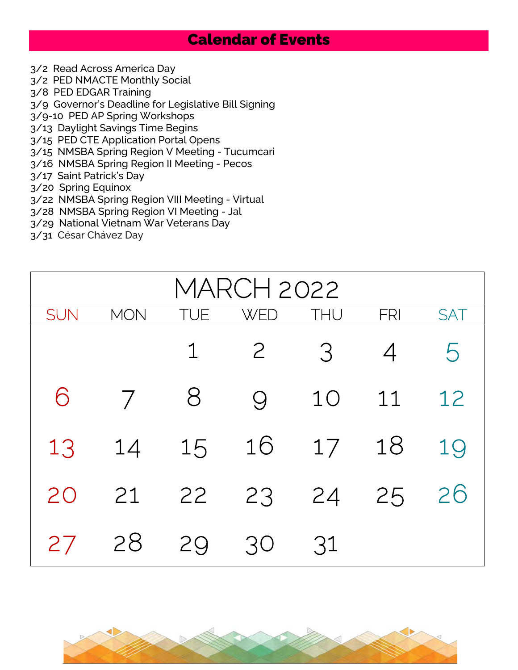## Calendar of Events

- 3/2 Read Across America Day
- 3/2 PED NMACTE Monthly Social
- 3/8 PED EDGAR Training
- 3/9 Governor's Deadline for Legislative Bill Signing
- 3/9-10 PED AP Spring Workshops
- 3/13 Daylight Savings Time Begins
- 3/15 PED CTE Application Portal Opens
- 3/15 NMSBA Spring Region V Meeting Tucumcari
- 3/16 NMSBA Spring Region II Meeting Pecos
- 3/17 Saint Patrick's Day
- 3/20 Spring Equinox
- 3/22 NMSBA Spring Region VIII Meeting Virtual
- 3/28 NMSBA Spring Region VI Meeting Jal
- 3/29 National Vietnam War Veterans Day
- 3/31 César Chávez Day

| MARCH 2022 |                |            |                |            |                |            |  |
|------------|----------------|------------|----------------|------------|----------------|------------|--|
| <b>SUN</b> | <b>MON</b>     | <b>TUE</b> | <b>WED</b>     | <b>THU</b> | FRI            | <b>SAT</b> |  |
|            |                | 1          | $\overline{2}$ | 3          | $\overline{4}$ | 5          |  |
| 6          | $\overline{7}$ | 8          | $\Theta$       | 10         | 11             | 12         |  |
| 13         | 14             | 15         | 16             | 17         | 18             | 19         |  |
| 20         | 21             | 22         | 23             | 24         | 25             | 26         |  |
| 27         | 28             | 29         | 30             | 31         |                |            |  |

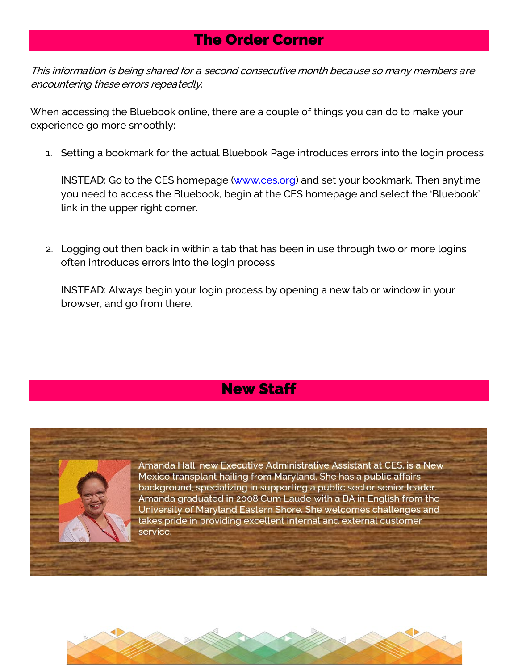## The Order Corner

This information is being shared for a second consecutive month because so many members are encountering these errors repeatedly.

When accessing the Bluebook online, there are a couple of things you can do to make your experience go more smoothly:

1. Setting a bookmark for the actual Bluebook Page introduces errors into the login process.

INSTEAD: Go to the CES homepage [\(www.ces.org\)](http://www.ces.org/) and set your bookmark. Then anytime you need to access the Bluebook, begin at the CES homepage and select the 'Bluebook' link in the upper right corner.

2. Logging out then back in within a tab that has been in use through two or more logins often introduces errors into the login process.

INSTEAD: Always begin your login process by opening a new tab or window in your browser, and go from there.

## New Staff



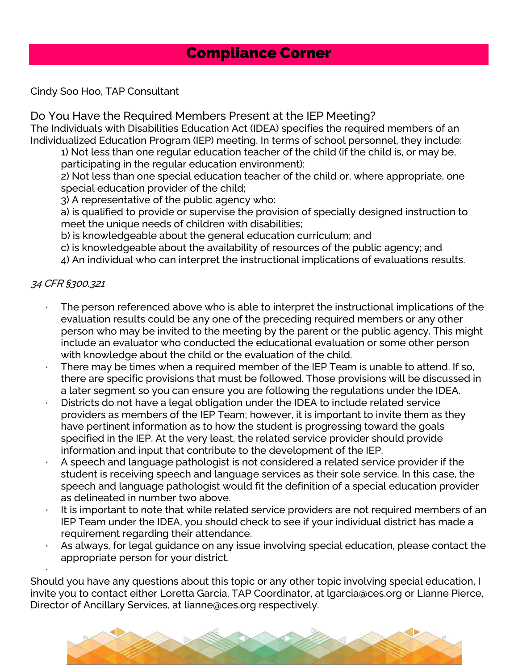## Compliance Corner

#### Cindy Soo Hoo, TAP Consultant

#### Do You Have the Required Members Present at the IEP Meeting?

The Individuals with Disabilities Education Act (IDEA) specifies the required members of an Individualized Education Program (IEP) meeting. In terms of school personnel, they include:

1) Not less than one regular education teacher of the child (if the child is, or may be, participating in the regular education environment);

2) Not less than one special education teacher of the child or, where appropriate, one special education provider of the child;

3) A representative of the public agency who:

a) is qualified to provide or supervise the provision of specially designed instruction to meet the unique needs of children with disabilities;

b) is knowledgeable about the general education curriculum; and

c) is knowledgeable about the availability of resources of the public agency; and

4) An individual who can interpret the instructional implications of evaluations results.

#### 34 CFR §300.321

·

- The person referenced above who is able to interpret the instructional implications of the evaluation results could be any one of the preceding required members or any other person who may be invited to the meeting by the parent or the public agency. This might include an evaluator who conducted the educational evaluation or some other person with knowledge about the child or the evaluation of the child.
- There may be times when a required member of the IEP Team is unable to attend. If so, there are specific provisions that must be followed. Those provisions will be discussed in a later segment so you can ensure you are following the regulations under the IDEA.
- Districts do not have a legal obligation under the IDEA to include related service providers as members of the IEP Team; however, it is important to invite them as they have pertinent information as to how the student is progressing toward the goals specified in the IEP. At the very least, the related service provider should provide information and input that contribute to the development of the IEP.
- A speech and language pathologist is not considered a related service provider if the student is receiving speech and language services as their sole service. In this case, the speech and language pathologist would fit the definition of a special education provider as delineated in number two above.
- It is important to note that while related service providers are not required members of an IEP Team under the IDEA, you should check to see if your individual district has made a requirement regarding their attendance.
- As always, for legal guidance on any issue involving special education, please contact the appropriate person for your district.

Should you have any questions about this topic or any other topic involving special education, I invite you to contact either Loretta Garcia, TAP Coordinator, at lgarcia@ces.org or Lianne Pierce, Director of Ancillary Services, at lianne@ces.org respectively.

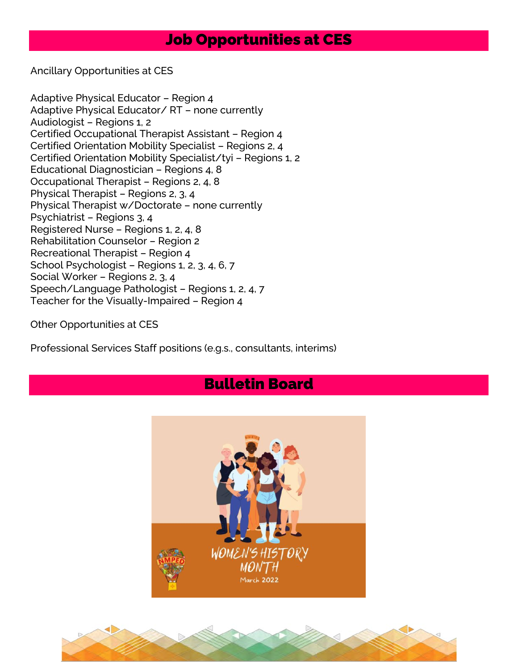## Job Opportunities at CES

Ancillary Opportunities at CES

Adaptive Physical Educator – Region 4 Adaptive Physical Educator/ RT – none currently Audiologist – Regions 1, 2 Certified Occupational Therapist Assistant – Region 4 Certified Orientation Mobility Specialist – Regions 2, 4 Certified Orientation Mobility Specialist/tyi – Regions 1, 2 Educational Diagnostician – Regions 4, 8 Occupational Therapist – Regions 2, 4, 8 Physical Therapist – Regions 2, 3, 4 Physical Therapist w/Doctorate – none currently Psychiatrist – Regions 3, 4 Registered Nurse – Regions 1, 2, 4, 8 Rehabilitation Counselor – Region 2 Recreational Therapist – Region 4 School Psychologist – Regions 1, 2, 3, 4, 6, 7 Social Worker – Regions 2, 3, 4 Speech/Language Pathologist – Regions 1, 2, 4, 7 Teacher for the Visually-Impaired – Region 4

Other Opportunities at CES

Professional Services Staff positions (e.g.s., consultants, interims)

## Bulletin Board



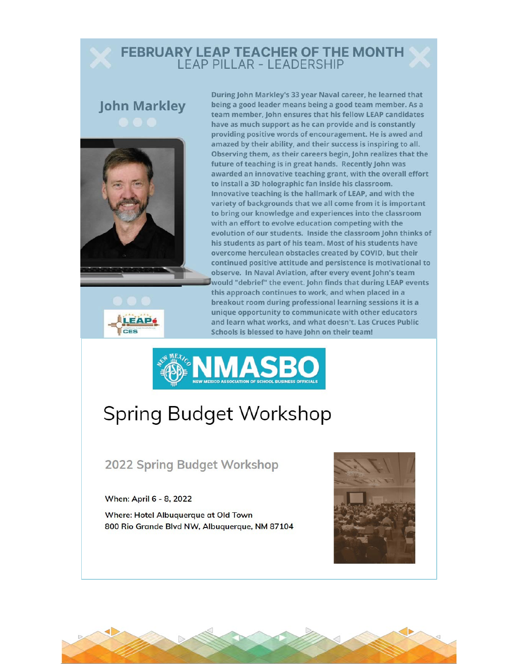# **FEBRUARY LEAP TEACHER OF THE MONTH<br>LEAP PILLAR - LEADERSHIP**

# **John Markley**





During John Markley's 33 year Naval career, he learned that being a good leader means being a good team member. As a team member, John ensures that his fellow LEAP candidates have as much support as he can provide and is constantly providing positive words of encouragement. He is awed and amazed by their ability, and their success is inspiring to all. Observing them, as their careers begin, John realizes that the future of teaching is in great hands. Recently John was awarded an innovative teaching grant, with the overall effort to install a 3D holographic fan inside his classroom. Innovative teaching is the hallmark of LEAP, and with the variety of backgrounds that we all come from it is important to bring our knowledge and experiences into the classroom with an effort to evolve education competing with the evolution of our students. Inside the classroom John thinks of his students as part of his team. Most of his students have overcome herculean obstacles created by COVID, but their continued positive attitude and persistence is motivational to observe. In Naval Aviation, after every event John's team would "debrief" the event. John finds that during LEAP events this approach continues to work, and when placed in a breakout room during professional learning sessions it is a unique opportunity to communicate with other educators and learn what works, and what doesn't. Las Cruces Public Schools is blessed to have John on their team!



## **Spring Budget Workshop**

**2022 Spring Budget Workshop** 

When: April 6 - 8, 2022

Where: Hotel Albuquerque at Old Town 800 Rio Grande Blvd NW, Albuquerque, NM 87104